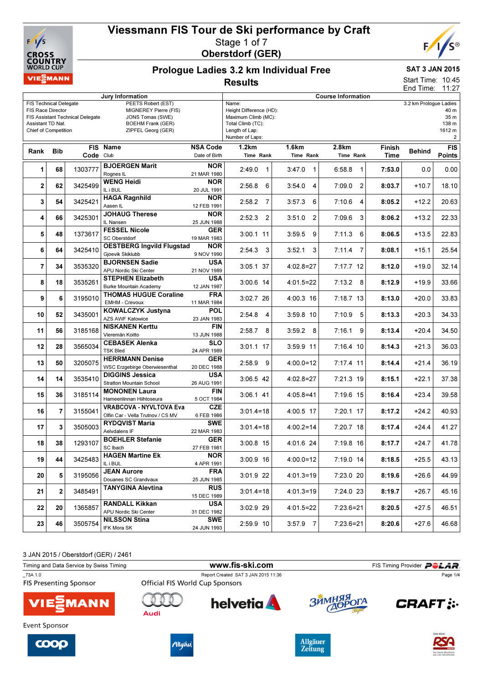



### Prologue Ladies 3.2 km Individual Free Results

## SAT 3 JAN 2015

Start Time: 10:45 End Time: 11:27

| Jury Information                                                                                                                                                                                                                                                       |              |           |                                                                     |                                  | <b>Course Information</b>                                                                                         |                        |                          |                |                        |                                                   |  |
|------------------------------------------------------------------------------------------------------------------------------------------------------------------------------------------------------------------------------------------------------------------------|--------------|-----------|---------------------------------------------------------------------|----------------------------------|-------------------------------------------------------------------------------------------------------------------|------------------------|--------------------------|----------------|------------------------|---------------------------------------------------|--|
| PEETS Robert (EST)<br><b>FIS Technical Delegate</b><br>FIS Race Director<br>MIGNEREY Pierre (FIS)<br><b>FIS Assistant Technical Delegate</b><br>JONS Tomas (SWE)<br><b>BOEHM Frank (GER)</b><br>Assistant TD Nat.<br><b>Chief of Competition</b><br>ZIPFEL Georg (GER) |              |           |                                                                     |                                  | Name:<br>Height Difference (HD):<br>Maximum Climb (MC):<br>Total Climb (TC):<br>Length of Lap:<br>Number of Laps: |                        |                          |                | 3.2 km Prologue Ladies | 40 m<br>35 m<br>138 m<br>1612 m<br>$\overline{a}$ |  |
| Rank                                                                                                                                                                                                                                                                   | Bib          | Code Club | <b>FIS Name</b>                                                     | <b>NSA Code</b><br>Date of Birth | 1.2km<br>Time Rank                                                                                                | 1.6km<br>Time Rank     | 2.8km<br>Time Rank       | Finish<br>Time | <b>Behind</b>          | <b>FIS</b><br><b>Points</b>                       |  |
| 1                                                                                                                                                                                                                                                                      | 68           | 1303777   | <b>BJOERGEN Marit</b><br>Rognes IL                                  | <b>NOR</b><br>21 MAR 1980        | 2:49.0<br>$\mathbf 1$                                                                                             | 3:47.0<br>$\mathbf{1}$ | 6:58.8<br>$\mathbf 1$    | 7:53.0         | 0.0                    | 0.00                                              |  |
| 2                                                                                                                                                                                                                                                                      | 62           | 3425499   | <b>WENG Heidi</b><br>IL i BUL                                       | <b>NOR</b><br>20 JUL 1991        | 2:56.8<br>6                                                                                                       | 3:54.0<br>4            | 7:09.0<br>$\overline{2}$ | 8:03.7         | +10.7                  | 18.10                                             |  |
| 3                                                                                                                                                                                                                                                                      | 54           | 3425421   | <b>HAGA Ragnhild</b><br>Aasen IL                                    | <b>NOR</b><br>12 FEB 1991        | 2:58.2<br>7                                                                                                       | 6<br>3:57.3            | 7:10.6<br>4              | 8:05.2         | $+12.2$                | 20.63                                             |  |
| 4                                                                                                                                                                                                                                                                      | 66           | 3425301   | <b>JOHAUG Therese</b><br>IL Nansen                                  | <b>NOR</b><br>25 JUN 1988        | 2:52.3<br>2                                                                                                       | 3:51.0<br>2            | 7:09.6<br>3              | 8:06.2         | $+13.2$                | 22.33                                             |  |
| 5                                                                                                                                                                                                                                                                      | 48           | 1373617   | <b>FESSEL Nicole</b><br>SC Oberstdorf                               | <b>GER</b><br>19 MAR 1983        | 3:00.1 11                                                                                                         | 3:59.5<br>9            | 7:11.3<br>6              | 8:06.5         | $+13.5$                | 22.83                                             |  |
| 6                                                                                                                                                                                                                                                                      | 64           | 3425410   | <b>OESTBERG Ingvild Flugstad</b><br>Gjoevik Skiklubb                | <b>NOR</b><br>9 NOV 1990         | 2:54.3<br>3                                                                                                       | 3:52.1<br>3            | 7:11.4<br>7              | 8:08.1         | $+15.1$                | 25.54                                             |  |
| $\overline{7}$                                                                                                                                                                                                                                                         | 34           | 3535320   | <b>BJORNSEN Sadie</b><br>APU Nordic Ski Center                      | <b>USA</b><br>21 NOV 1989        | 3:05.1 37                                                                                                         | $4:02.8=27$            | $7:17.7$ 12              | 8:12.0         | $+19.0$                | 32.14                                             |  |
| 8                                                                                                                                                                                                                                                                      | 18           | 3535261   | <b>STEPHEN Elizabeth</b><br><b>Burke Mountain Academy</b>           | USA<br>12 JAN 1987               | 3:00.6 14                                                                                                         | $4:01.5=22$            | $7:13.2$ 8               | 8:12.9         | $+19.9$                | 33.66                                             |  |
| 9                                                                                                                                                                                                                                                                      | 6            | 3195010   | <b>THOMAS HUGUE Coraline</b><br><b>EMHM - Crevoux</b>               | <b>FRA</b><br>11 MAR 1984        | 3:02.7 26                                                                                                         | 4:00.3 16              | $7:18.7$ 13              | 8:13.0         | $+20.0$                | 33.83                                             |  |
| 10                                                                                                                                                                                                                                                                     | 52           | 3435001   | <b>KOWALCZYK Justyna</b><br><b>AZS AWF Katowice</b>                 | <b>POL</b><br>23 JAN 1983        | 2:54.8<br>4                                                                                                       | $3:59.8$ 10            | $7:10.9$ 5               | 8:13.3         | $+20.3$                | 34.33                                             |  |
| 11                                                                                                                                                                                                                                                                     | 56           | 3185168   | <b>NISKANEN Kerttu</b><br>Vieremän Koitto                           | <b>FIN</b><br>13 JUN 1988        | $2:58.7$ 8                                                                                                        | $3:59.2$ 8             | 7:16.1<br>9              | 8:13.4         | $+20.4$                | 34.50                                             |  |
| 12                                                                                                                                                                                                                                                                     | 28           | 3565034   | <b>CEBASEK Alenka</b><br><b>TSK Bled</b>                            | <b>SLO</b><br>24 APR 1989        | 3:01.1 17                                                                                                         | 3:59.9 11              | 7:16.4 10                | 8:14.3         | +21.3                  | 36.03                                             |  |
| 13                                                                                                                                                                                                                                                                     | 50           | 3205075   | <b>HERRMANN Denise</b><br>WSC Erzgebirge Oberwiesenthal             | <b>GER</b><br>20 DEC 1988        | $2:58.9$ 9                                                                                                        | $4:00.0=12$            | 7:17.4 11                | 8:14.4         | $+21.4$                | 36.19                                             |  |
| 14                                                                                                                                                                                                                                                                     | 14           | 3535410   | <b>DIGGINS Jessica</b><br><b>Stratton Mountain School</b>           | USA<br>26 AUG 1991               | 3:06.5 42                                                                                                         | $4:02.8=27$            | 7:21.3 19                | 8:15.1         | $+22.1$                | 37.38                                             |  |
| 15                                                                                                                                                                                                                                                                     | 36           | 3185114   | <b>MONONEN Laura</b><br>Hameenlinnan Hiihtoseura                    | <b>FIN</b><br>5 OCT 1984         | $3:06.1$ 41                                                                                                       | $4:05.8=41$            | 7:19.6 15                | 8:16.4         | +23.4                  | 39.58                                             |  |
| 16                                                                                                                                                                                                                                                                     | 7            | 3155041   | <b>VRABCOVA - NYVLTOVA Eva</b><br>Olfin Car - Vella Trutnov / CS MV | <b>CZE</b><br>6 FEB 1986         | $3:01.4=18$                                                                                                       | 4:00.5 17              | 7:20.1 17                | 8:17.2         | +24.2                  | 40.93                                             |  |
| 17                                                                                                                                                                                                                                                                     | 3            | 3505003   | <b>RYDQVIST Maria</b><br>Aelvdalens IF                              | <b>SWE</b><br>22 MAR 1983        | $3:01.4=18$                                                                                                       | $4:00.2=14$            | 7:20.7 18                | 8:17.4         | $+24.4$                | 41.27                                             |  |
| 18                                                                                                                                                                                                                                                                     | 38           | 1293107   | <b>BOEHLER Stefanie</b><br>SC Ibach                                 | <b>GER</b><br>27 FEB 1981        | 3:00.8 15                                                                                                         | 4:01.6 24              | 7:19.8 16                | 8:17.7         | $+24.7$                | 41.78                                             |  |
| 19                                                                                                                                                                                                                                                                     | 44           | 3425483   | <b>HAGEN Martine Ek</b><br>IL i BUL                                 | <b>NOR</b><br>4 APR 1991         | $3:00.9$ 16                                                                                                       | $4:00.0=12$            | 7:19.0 14                | 8:18.5         | $+25.5$                | 43.13                                             |  |
| 20                                                                                                                                                                                                                                                                     | 5            | 3195056   | <b>JEAN Aurore</b><br>Douanes SC Grandvaux                          | <b>FRA</b><br>25 JUN 1985        | 3:01.9 22                                                                                                         | $4:01.3=19$            | 7:23.0 20                | 8:19.6         | $+26.6$                | 44.99                                             |  |
| 21                                                                                                                                                                                                                                                                     | $\mathbf{2}$ | 3485491   | <b>TANYGINA Alevtina</b>                                            | <b>RUS</b><br>15 DEC 1989        | $3:01.4=18$                                                                                                       | $4:01.3=19$            | 7:24.0 23                | 8:19.7         | $+26.7$                | 45.16                                             |  |
| 22                                                                                                                                                                                                                                                                     | 20           | 1365857   | <b>RANDALL Kikkan</b><br>APU Nordic Ski Center                      | <b>USA</b><br>31 DEC 1982        | 3:02.9 29                                                                                                         | $4:01.5=22$            | $7:23.6=21$              | 8:20.5         | $+27.5$                | 46.51                                             |  |
| 23                                                                                                                                                                                                                                                                     | 46           | 3505754   | <b>NILSSON Stina</b><br>IFK Mora SK                                 | <b>SWE</b><br>24 JUN 1993        | 2:59.9 10                                                                                                         | $3:57.9$ 7             | 7:23.6=21                | 8:20.6         | $+27.6$                | 46.68                                             |  |
|                                                                                                                                                                                                                                                                        |              |           |                                                                     |                                  |                                                                                                                   |                        |                          |                |                        |                                                   |  |

3 JAN 2015 / Oberstdorf (GER) / 2461

| Timing and Data Service by Swiss Timing  |                                        |                                     | FIS Timing Provider <b>POLAR</b> |                    |  |
|------------------------------------------|----------------------------------------|-------------------------------------|----------------------------------|--------------------|--|
| 73A 1.0<br><b>FIS Presenting Sponsor</b> | <b>Official FIS World Cup Sponsors</b> | Report Created SAT 3 JAN 2015 11:36 |                                  | Page 1/4           |  |
| <b>VIE</b> MANN                          | Audi                                   | <b>helvetia</b>                     | ЗЙМНЯЯ ОГА                       | <b>CRAFT:</b>      |  |
| Event Sponsor                            |                                        |                                     |                                  | <b>IDAS NEUE I</b> |  |







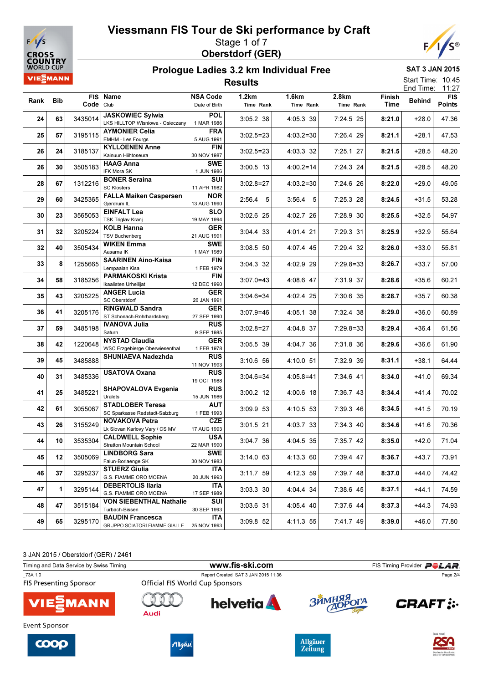



### Prologue Ladies 3.2 km Individual Free Results

SAT 3 JAN 2015 Start Time: 10:45

End Time: 11:27

| Rank Bib |    | Code Club | FIS Name                                                           | <b>NSA Code</b><br>Date of Birth | 1.2km<br>Time Rank | 1.6km<br>Time Rank | 2.8km<br>Time Rank | Finish<br>Time | <b>Behind</b> | <b>FIS</b><br><b>Points</b> |
|----------|----|-----------|--------------------------------------------------------------------|----------------------------------|--------------------|--------------------|--------------------|----------------|---------------|-----------------------------|
|          |    |           |                                                                    |                                  |                    |                    |                    |                |               |                             |
| 24       | 63 | 3435014   | <b>JASKOWIEC Sylwia</b><br>LKS HILLTOP Wisniowa - Osieczany        | <b>POL</b><br>1 MAR 1986         | 3:05.2 38          | 4:05.3 39          | 7:24.5 25          | 8:21.0         | $+28.0$       | 47.36                       |
| 25       | 57 | 3195115   | <b>AYMONIER Celia</b><br>EMHM - Les Fourgs                         | FRA<br>5 AUG 1991                | $3:02.5=23$        | $4:03.2=30$        | 7:26.4 29          | 8:21.1         | $+28.1$       | 47.53                       |
| 26       | 24 | 3185137   | <b>KYLLOENEN Anne</b><br>Kainuun Hiihtoseura                       | <b>FIN</b><br>30 NOV 1987        | $3:02.5=23$        | 4:03.3 32          | 7:25.1 27          | 8:21.5         | $+28.5$       | 48.20                       |
| 26       | 30 | 3505183   | <b>HAAG Anna</b><br><b>IFK Mora SK</b>                             | <b>SWE</b>                       | $3:00.5$ 13        | $4:00.2=14$        | 7:24.3 24          | 8:21.5         | $+28.5$       | 48.20                       |
| 28       | 67 | 1312216   | <b>BONER Seraina</b>                                               | 1 JUN 1986<br>SUI                | $3:02.8=27$        | $4:03.2=30$        | 7:24.6 26          | 8:22.0         | $+29.0$       | 49.05                       |
| 29       | 60 | 3425365   | <b>SC Klosters</b><br><b>FALLA Maiken Caspersen</b>                | 11 APR 1982<br><b>NOR</b>        | $2:56.4$ 5         | $3:56.4$ 5         | $7:25.3$ 28        | 8:24.5         | $+31.5$       | 53.28                       |
|          |    |           | Gjerdrum IL<br><b>EINFALT Lea</b>                                  | 13 AUG 1990<br><b>SLO</b>        |                    |                    |                    |                |               |                             |
| 30       | 23 | 3565053   | <b>TSK Triglav Kranj</b>                                           | 19 MAY 1994                      | 3:02.6 25          | 4:02.7 26          | 7:28.9 30          | 8:25.5         | $+32.5$       | 54.97                       |
| 31       | 32 | 3205224   | <b>KOLB Hanna</b><br><b>TSV Buchenberg</b>                         | <b>GER</b><br>21 AUG 1991        | 3:04.4 33          | 4:01.4 21          | 7:29.3 31          | 8:25.9         | $+32.9$       | 55.64                       |
| 32       | 40 | 3505434   | <b>WIKEN Emma</b><br>Aasama IK                                     | <b>SWE</b><br>1 MAY 1989         | 3:08.5 50          | 4:07.4 45          | 7:29.4 32          | 8:26.0         | $+33.0$       | 55.81                       |
| 33       | 8  | 1255665   | <b>SAARINEN Aino-Kaisa</b><br>Lempaalan Kisa                       | <b>FIN</b><br>1 FEB 1979         | 3:04.3 32          | 4:02.9 29          | $7:29.8=33$        | 8:26.7         | $+33.7$       | 57.00                       |
| 34       | 58 | 3185256   | <b>PARMAKOSKI Krista</b><br>Ikaalisten Urheilijat                  | <b>FIN</b><br>12 DEC 1990        | $3:07.0 = 43$      | 4:08.6 47          | 7:31.9 37          | 8:28.6         | $+35.6$       | 60.21                       |
| 35       | 43 | 3205225   | <b>ANGER Lucia</b><br><b>SC Oberstdorf</b>                         | <b>GER</b><br>26 JAN 1991        | $3:04.6 = 34$      | 4:02.4 25          | 7:30.6 35          | 8:28.7         | $+35.7$       | 60.38                       |
| 36       | 41 | 3205176   | <b>RINGWALD Sandra</b><br>ST Schonach-Rohrhardsberg                | <b>GER</b><br>27 SEP 1990        | $3:07.9 = 46$      | 4:05.1 38          | 7:32.4 38          | 8:29.0         | $+36.0$       | 60.89                       |
| 37       | 59 | 3485198   | <b>IVANOVA Julia</b><br>Saturn                                     | <b>RUS</b>                       | $3:02.8=27$        | 4:04.8 37          | $7:29.8=33$        | 8:29.4         | $+36.4$       | 61.56                       |
| 38       | 42 | 1220648   | <b>NYSTAD Claudia</b>                                              | 9 SEP 1985<br><b>GER</b>         | 3:05.5 39          | 4:04.7 36          | 7:31.8 36          | 8:29.6         | $+36.6$       | 61.90                       |
| 39       | 45 | 3485888   | <b>WSC Erzgebierge Oberwiesenthal</b><br><b>SHUNIAEVA Nadezhda</b> | 1 FEB 1978<br><b>RUS</b>         | $3:10.6$ 56        | 4:10.0 51          | 7:32.9 39          | 8:31.1         | $+38.1$       | 64.44                       |
| 40       | 31 | 3485336   | <b>USATOVA Oxana</b>                                               | 11 NOV 1993<br><b>RUS</b>        | $3:04.6 = 34$      | $4:05.8 = 41$      | 7:34.6 41          | 8:34.0         | $+41.0$       | 69.34                       |
|          |    |           | <b>SHAPOVALOVA Evgenia</b>                                         | 19 OCT 1988<br><b>RUS</b>        |                    |                    |                    |                |               |                             |
| 41       | 25 | 3485221   | Uralets                                                            | 15 JUN 1986                      | $3:00.2$ 12        | 4:00.6 18          | 7:36.7 43          | 8:34.4         | +41.4         | 70.02                       |
| 42       | 61 | 3055067   | <b>STADLOBER Teresa</b><br>SC Sparkasse Radstadt-Salzburg          | <b>AUT</b><br>1 FEB 1993         | 3:09.9 53          | 4:10.5 53          | 7:39.3 46          | 8:34.5         | $+41.5$       | 70.19                       |
| 43       | 26 | 3155249   | <b>NOVAKOVA Petra</b><br>Lk Slovan Karlovy Vary / CS MV            | <b>CZE</b><br>17 AUG 1993        | 3:01.5 21          | 4:03.7 33          | 7:34.3 40          | 8:34.6         | $+41.6$       | 70.36                       |
| 44       | 10 | 3535304   | <b>CALDWELL Sophie</b><br>Stratton Mountain School                 | <b>USA</b><br>22 MAR 1990        | 3:04.7 36          | 4:04.5 35          | 7:35.7 42          | 8:35.0         | +42.0         | 71.04                       |
| 45       | 12 | 3505069   | <b>LINDBORG Sara</b><br>Falun-Borlaenge SK                         | <b>SWE</b><br>30 NOV 1983        | $3:14.0$ 63        | 4:13.3 60          | 7:39.4 47          | 8:36.7         | $+43.7$       | 73.91                       |
| 46       | 37 | 3295237   | <b>STUERZ Giulia</b><br>G.S. FIAMME ORO MOENA                      | <b>ITA</b><br>20 JUN 1993        | 3:11.7 59          | 4:12.3 59          | 7:39.7 48          | 8:37.0         | $+44.0$       | 74.42                       |
| 47       | 1  | 3295144   | <b>DEBERTOLIS Ilaria</b><br>G.S. FIAMME ORO MOENA                  | <b>ITA</b>                       | 3:03.3 30          | 4:04.4 34          | 7:38.6 45          | 8:37.1         | +44.1         | 74.59                       |
| 48       | 47 | 3515184   | <b>VON SIEBENTHAL Nathalie</b>                                     | 17 SEP 1989<br>SUI               | 3:03.6 31          | 4:05.4 40          | 7:37.6 44          | 8:37.3         | +44.3         | 74.93                       |
| 49       | 65 | 3295170   | Turbach-Bissen<br><b>BAUDIN Francesca</b>                          | 30 SEP 1993<br><b>ITA</b>        | 3:09.8 52          | 4:11.3 55          | 7:41.7 49          | 8:39.0         | +46.0         | 77.80                       |
|          |    |           | GRUPPO SCIATORI FIAMME GIALLE                                      | 25 NOV 1993                      |                    |                    |                    |                |               |                             |

3 JAN 2015 / Oberstdorf (GER) / 2461

Timing and Data Service by Swiss Timing **WWW.fis-Ski.com** FIS Timing Provider PCLAR. \_73A 1.0<br>
Report Created SAT 3 JAN 2015 11:36<br>
FIS Presenting Sponsor<br>
Official FIS World Cup Sponsors Page 2/4**FIS Presenting Sponsor**  $\bigcap$ **helvetia RHMM**  $\overline{\mathbf{B}}$ **CRAFT: :. MANN** Audi Event Sponsor







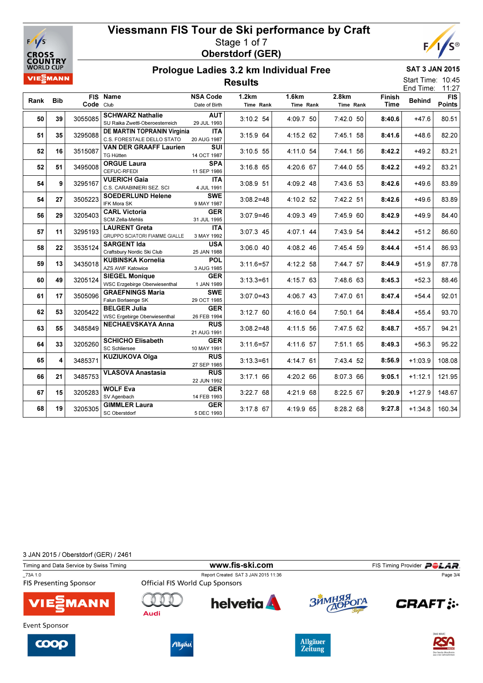



### Prologue Ladies 3.2 km Individual Free Results

SAT 3 JAN 2015

| Start Time: 10:45 |       |
|-------------------|-------|
| End Time:         | 11:27 |

| Rank | <b>Bib</b> | Code Club | FIS Name                                                   | <b>NSA Code</b><br>Date of Birth | 1.2km<br>Time Rank | 1.6km<br>Time Rank | 2.8km<br>Time Rank | Finish<br><b>Time</b> | <b>Behind</b> | <b>FIS</b><br>Points |
|------|------------|-----------|------------------------------------------------------------|----------------------------------|--------------------|--------------------|--------------------|-----------------------|---------------|----------------------|
| 50   | 39         | 3055085   | <b>SCHWARZ Nathalie</b><br>SU Raika Zwettl-Oberoesterreich | <b>AUT</b><br>29 JUL 1993        | 3:10.2 54          | 4:09.7 50          | 7:42.0 50          | 8:40.6                | $+47.6$       | 80.51                |
| 51   | 35         | 3295088   | DE MARTIN TOPRANIN Virginia<br>C.S. FORESTALE DELLO STATO  | <b>ITA</b><br>20 AUG 1987        | 3:15.9 64          | 4:15.2 62          | 7:45.1 58          | 8:41.6                | $+48.6$       | 82.20                |
| 52   | 16         | 3515087   | <b>VAN DER GRAAFF Laurien</b><br><b>TG Hütten</b>          | <b>SUI</b><br>14 OCT 1987        | 3:10.5 55          | 4:11.0 54          | 7:44.1 56          | 8:42.2                | $+49.2$       | 83.21                |
| 52   | 51         | 3495008   | <b>ORGUE Laura</b><br>CEFUC-RFEDI                          | <b>SPA</b><br>11 SEP 1986        | $3:16.8$ 65        | 4:20.6 67          | 7:44.0 55          | 8:42.2                | $+49.2$       | 83.21                |
| 54   | 9          | 3295167   | <b>VUERICH Gaia</b><br>C.S. CARABINIERI SEZ. SCI           | <b>ITA</b><br>4 JUL 1991         | 3:08.9 51          | 4:09.2 48          | $7:43.6$ 53        | 8:42.6                | $+49.6$       | 83.89                |
| 54   | 27         | 3505223   | <b>SOEDERLUND Helene</b><br>IFK Mora SK                    | <b>SWE</b><br>9 MAY 1987         | $3:08.2=48$        | 4:10.2 52          | 7:42.2 51          | 8:42.6                | $+49.6$       | 83.89                |
| 56   | 29         | 3205403   | <b>CARL Victoria</b><br><b>SCM Zella-Mehlis</b>            | <b>GER</b><br>31 JUL 1995        | $3:07.9 = 46$      | 4:09.3 49          | 7:45.9 60          | 8:42.9                | $+49.9$       | 84.40                |
| 57   | 11         | 3295193   | <b>LAURENT Greta</b><br>GRUPPO SCIATORI FIAMME GIALLE      | <b>ITA</b><br>3 MAY 1992         | 3:07.3 45          | 4:07.1 44          | 7:43.9 54          | 8:44.2                | $+51.2$       | 86.60                |
| 58   | 22         | 3535124   | <b>SARGENT Ida</b><br>Craftsbury Nordic Ski Club           | <b>USA</b><br>25 JAN 1988        | 3:06.0 40          | 4:08.2 46          | 7:45.4 59          | 8:44.4                | $+51.4$       | 86.93                |
| 59   | 13         | 3435018   | <b>KUBINSKA Kornelia</b><br><b>AZS AWF Katowice</b>        | <b>POL</b><br>3 AUG 1985         | $3:11.6 = 57$      | 4:12.2 58          | 7:44.7 57          | 8:44.9                | $+51.9$       | 87.78                |
| 60   | 49         | 3205124   | <b>SIEGEL Monique</b><br>WSC Erzgebirge Oberwiesenthal     | <b>GER</b><br>1 JAN 1989         | $3:13.3=61$        | 4:15.7 63          | 7:48.6 63          | 8:45.3                | $+52.3$       | 88.46                |
| 61   | 17         | 3505096   | <b>GRAEFNINGS Maria</b><br>Falun Borlaenge SK              | <b>SWE</b><br>29 OCT 1985        | $3:07.0 = 43$      | 4:06.7 43          | 7:47.0 61          | 8:47.4                | $+54.4$       | 92.01                |
| 62   | 53         | 3205422   | <b>BELGER Julia</b><br><b>WSC Ergebirge Oberwiesenthal</b> | <b>GER</b><br>26 FEB 1994        | 3:12.760           | 4:16.0 64          | 7:50.1 64          | 8:48.4                | $+55.4$       | 93.70                |
| 63   | 55         | 3485849   | <b>NECHAEVSKAYA Anna</b>                                   | <b>RUS</b><br>21 AUG 1991        | $3:08.2=48$        | 4:11.5 56          | 7:47.5 62          | 8:48.7                | $+55.7$       | 94.21                |
| 64   | 33         | 3205260   | <b>SCHICHO Elisabeth</b><br><b>SC Schliersee</b>           | <b>GER</b><br>10 MAY 1991        | $3:11.6 = 57$      | 4:11.6 57          | 7:51.1 65          | 8:49.3                | $+56.3$       | 95.22                |
| 65   | 4          | 3485371   | <b>KUZIUKOVA Olga</b>                                      | <b>RUS</b><br>27 SEP 1985        | $3:13.3=61$        | 4:14.7 61          | 7:43.4 52          | 8:56.9                | $+1:03.9$     | 108.08               |
| 66   | 21         | 3485753   | <b>VLASOVA Anastasia</b>                                   | <b>RUS</b><br>22 JUN 1992        | 3:17.1 66          | 4:20.2 66          | 8:07.3 66          | 9:05.1                | $+1:12.1$     | 121.95               |
| 67   | 15         | 3205283   | <b>WOLF Eva</b><br>SV Agenbach                             | <b>GER</b><br>14 FEB 1993        | 3:22.768           | 4:21.9 68          | 8:22.5 67          | 9:20.9                | $+1:27.9$     | 148.67               |
| 68   | 19         | 3205305   | <b>GIMMLER Laura</b><br>SC Oberstdorf                      | <b>GER</b><br>5 DEC 1993         | $3:17.8$ 67        | 4:19.9 65          | 8:28.2 68          | 9:27.8                | $+1:34.8$     | 160.34               |

3 JAN 2015 / Oberstdorf (GER) / 2461

Timing and Data Service by Swiss Timing **WWW.fis-Ski.com** FIS Timing Provider PCLAR.

\_73A 1.0 Report Created SAT 3 JAN 2015 11:36 **FIS Presenting Sponsor** 





















Page 3/4